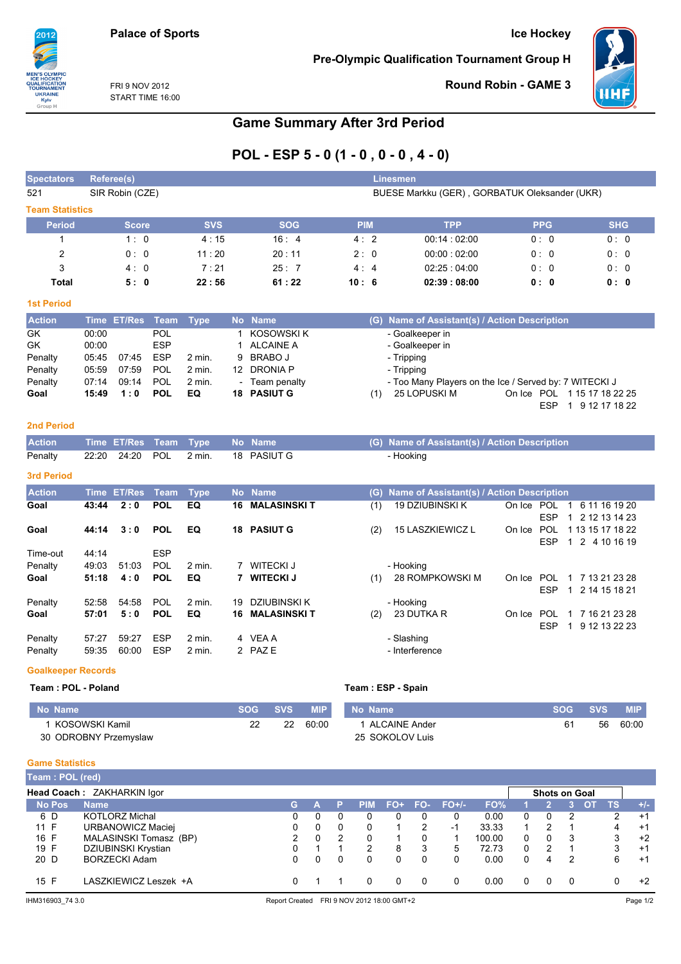### **Ice Hockey**

**Pre-Olympic Qualification Tournament Group H** 



Round Robin - GAME 3

FRI 9 NOV 2012 START TIME 16:00

2012

**N'S OLY<br>E HOCH<br>ALIFICA<br>LIPMAM** 

**JURNAME<br>UKRAINE<br>Kyiv**<br>Group H

# **Game Summary After 3rd Period**

# POL - ESP  $5 - 0 (1 - 0, 0 - 0, 4 - 0)$

| <b>Spectators</b>         |       | Linesmen<br>Referee(s) |             |             |              |                     |      |            |                                                        |                          |                                               |
|---------------------------|-------|------------------------|-------------|-------------|--------------|---------------------|------|------------|--------------------------------------------------------|--------------------------|-----------------------------------------------|
| 521                       |       | SIR Robin (CZE)        |             |             |              |                     |      |            | BUESE Markku (GER), GORBATUK Oleksander (UKR)          |                          |                                               |
| <b>Team Statistics</b>    |       |                        |             |             |              |                     |      |            |                                                        |                          |                                               |
| <b>Period</b>             |       | <b>Score</b>           |             | <b>SVS</b>  |              | <b>SOG</b>          |      | <b>PIM</b> | <b>TPP</b>                                             | <b>PPG</b>               | <b>SHG</b>                                    |
| $\mathbf{1}$              |       | 1:0                    |             | 4:15        |              | 16:4                |      | 4:2        | 00:14:02:00                                            | 0:0                      | 0:0                                           |
| $\overline{2}$            |       | 0:0                    |             | 11:20       |              | 20:11               |      | 2:0        | 00:00:02:00                                            | 0:0                      | 0:0                                           |
| 3                         |       | 4:0                    |             | 7:21        |              | 25:7                |      | 4:4        | 02:25:04:00                                            | 0:0                      | 0:0                                           |
| Total                     |       | 5:0                    |             | 22:56       |              | 61:22               | 10:6 |            | 02:39:08:00                                            | 0: 0                     | 0: 0                                          |
| <b>1st Period</b>         |       |                        |             |             |              |                     |      |            |                                                        |                          |                                               |
| <b>Action</b>             |       | Time ET/Res            | <b>Team</b> | <b>Type</b> |              | No Name             |      |            | (G) Name of Assistant(s) / Action Description          |                          |                                               |
| GK                        | 00:00 |                        | <b>POL</b>  |             | 1            | <b>KOSOWSKI K</b>   |      |            | - Goalkeeper in                                        |                          |                                               |
| GK                        | 00:00 |                        | <b>ESP</b>  |             | $\mathbf{1}$ | <b>ALCAINE A</b>    |      |            | - Goalkeeper in                                        |                          |                                               |
| Penalty                   | 05:45 | 07:45                  | <b>ESP</b>  | 2 min.      | 9            | <b>BRABO J</b>      |      |            | - Tripping                                             |                          |                                               |
| Penalty                   | 05:59 | 07:59                  | <b>POL</b>  | 2 min.      |              | 12 DRONIA P         |      |            | - Tripping                                             |                          |                                               |
| Penalty                   | 07:14 | 09:14                  | <b>POL</b>  | 2 min.      |              | - Team penalty      |      |            | - Too Many Players on the Ice / Served by: 7 WITECKI J |                          |                                               |
| Goal                      | 15:49 | 1:0                    | <b>POL</b>  | EQ          |              | <b>18 PASIUT G</b>  |      | (1)        | 25 LOPUSKI M                                           | <b>ESP</b>               | On Ice POL 115 17 18 22 25<br>1 9 12 17 18 22 |
| <b>2nd Period</b>         |       |                        |             |             |              |                     |      |            |                                                        |                          |                                               |
| <b>Action</b>             |       | Time ET/Res            | Team        | <b>Type</b> |              | No Name             |      |            | (G) Name of Assistant(s) / Action Description          |                          |                                               |
| Penalty                   | 22:20 | 24:20                  | <b>POL</b>  | 2 min.      |              | 18 PASIUT G         |      |            | - Hooking                                              |                          |                                               |
| <b>3rd Period</b>         |       |                        |             |             |              |                     |      |            |                                                        |                          |                                               |
| <b>Action</b>             |       | Time ET/Res            | Team        | <b>Type</b> |              | No Name             |      | (G)        | Name of Assistant(s) / Action Description              |                          |                                               |
| Goal                      | 43:44 | 2:0                    | <b>POL</b>  | EQ          | 16           | <b>MALASINSKI T</b> |      | (1)        | <b>19 DZIUBINSKI K</b>                                 |                          | On Ice POL 1 6 11 16 19 20                    |
|                           |       |                        |             |             |              |                     |      |            |                                                        | <b>ESP</b>               | 1 2 12 13 14 23                               |
| Goal                      | 44:14 | 3:0                    | <b>POL</b>  | EQ          |              | <b>18 PASIUT G</b>  |      | (2)        | <b>15 LASZKIEWICZ L</b>                                | On Ice POL<br><b>ESP</b> | 1 13 15 17 18 22<br>1 2 4 10 16 19            |
| Time-out                  | 44:14 |                        | <b>ESP</b>  |             |              |                     |      |            |                                                        |                          |                                               |
| Penalty                   | 49:03 | 51:03                  | POL         | $2$ min.    |              | 7 WITECKI J         |      |            | - Hooking                                              |                          |                                               |
| Goal                      | 51:18 | 4:0                    | <b>POL</b>  | EQ          |              | 7 WITECKI J         |      | (1)        | 28 ROMPKOWSKI M                                        |                          | On Ice POL 1 7 13 21 23 28                    |
|                           |       |                        |             |             |              |                     |      |            |                                                        | <b>ESP</b>               | 1 2 14 15 18 21                               |
| Penalty                   | 52:58 | 54:58                  | <b>POL</b>  | 2 min.      | 19           | <b>DZIUBINSKI K</b> |      |            | - Hooking                                              |                          |                                               |
| Goal                      | 57:01 | 5:0                    | <b>POL</b>  | EQ          | 16           | <b>MALASINSKIT</b>  |      | (2)        | 23 DUTKA R                                             | On Ice POL               | 1 7 16 21 23 28                               |
|                           |       |                        |             |             |              |                     |      |            |                                                        | <b>ESP</b>               | 1 9 12 13 22 23                               |
| Penalty                   | 57:27 | 59:27                  | <b>ESP</b>  | 2 min.      |              | 4 VEA A             |      |            | - Slashing                                             |                          |                                               |
| Penalty                   | 59:35 | 60:00                  | <b>ESP</b>  | 2 min.      |              | 2 PAZE              |      |            | - Interference                                         |                          |                                               |
| <b>Goalkeeper Records</b> |       |                        |             |             |              |                     |      |            |                                                        |                          |                                               |
| Team: POL - Poland        |       |                        |             |             |              |                     |      |            | Team: ESP - Spain                                      |                          |                                               |

#### No Name **SOG** No Name **SOG SVS MIP SVS MIP** 1 ALCAINE Ander 1 KOSOWSKI Kamil  $\overline{22}$  $\overline{22}$ 60:00  $61$  $56$ 60:00 30 ODROBNY Przemyslaw 25 SOKOLOV Luis

#### **Game Statistics**

| Team: POL (red) |                            |    |   |            |     |          |         |        |   |                      |     |           |       |
|-----------------|----------------------------|----|---|------------|-----|----------|---------|--------|---|----------------------|-----|-----------|-------|
|                 | Head Coach: ZAKHARKIN Igor |    |   |            |     |          |         |        |   | <b>Shots on Goal</b> |     |           |       |
| <b>No Pos</b>   | <b>Name</b>                | G. |   | <b>PIM</b> | FO+ | FO-      | $FO+/-$ | FO%    |   |                      |     | <b>TS</b> | $+1-$ |
| 6 D             | <b>KOTLORZ Michal</b>      | 0  | 0 |            |     |          |         | 0.00   | 0 | $\mathbf{0}$         |     | 2         | $+1$  |
| 11 F            | URBANOWICZ Maciei          |    | 0 | 0          |     | 2        | -1      | 33.33  |   |                      |     | 4         | $+1$  |
| 16 F            | MALASINSKI Tomasz (BP)     | 2  | 2 | 0          |     |          |         | 100.00 | 0 | 0                    | 3   | 3         | $+2$  |
| 19 F            | DZIUBINSKI Krystian        |    |   | 2          | 8   | 3        | 5       | 72.73  | 0 | 2                    |     | 3         | $+1$  |
| 20 D            | <b>BORZECKI Adam</b>       |    | 0 | 0          |     | 0        | 0       | 0.00   | 0 | 4                    | 2   | 6         | $+1$  |
| 15 F            | LASZKIEWICZ Leszek +A      |    |   |            |     | $\Omega$ | 0       | 0.00   | 0 | 0                    | - 0 |           | $+2$  |